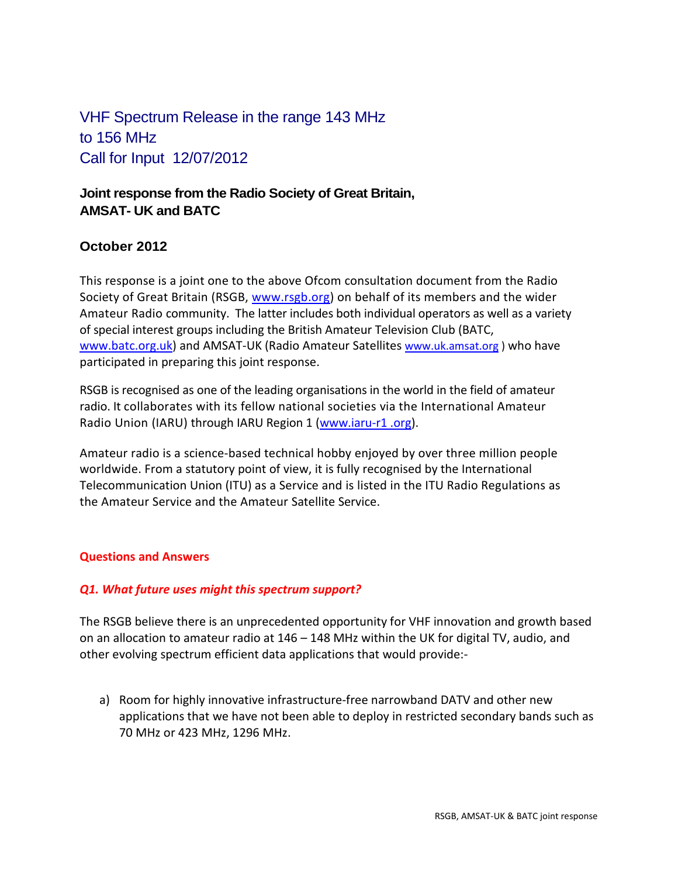# VHF Spectrum Release in the range 143 MHz to 156 MHz Call for Input 12/07/2012

## **Joint response from the Radio Society of Great Britain, AMSAT- UK and BATC**

### **October 2012**

This response is a joint one to the above Ofcom consultation document from the Radio Society of Great Britain (RSGB, www.rsgb.org) on behalf of its members and the wider Amateur Radio community. The latter includes both individual operators as well as a variety of special interest groups including the British Amateur Television Club (BATC, [www.batc.org.uk\)](http://www.batc.org.uk/) and AMSAT-UK (Radio Amateur Satellites [www.uk.amsat.org](http://www.uk.amsat.org/)) who have participated in preparing this joint response.

RSGB is recognised as one of the leading organisations in the world in the field of amateur radio. It collaborates with its fellow national societies via the International Amateur Radio Union (IARU) through IARU Region1([www.iaru-r1 .org\)](http://www.iaru-r1.org/).

Amateur radio is a science-based technical hobby enjoyed by over three million people worldwide. From a statutory point of view, it is fully recognised by the International Telecommunication Union (ITU) as a Service and is listed in the ITU Radio Regulations as the Amateur Service and the Amateur Satellite Service.

#### **Questions and Answers**

#### *Q1. What future uses might this spectrum support?*

The RSGB believe there is an unprecedented opportunity for VHF innovation and growth based on an allocation to amateur radio at 146 – 148 MHz within the UK for digital TV, audio, and other evolving spectrum efficient data applications that would provide:-

a) Room for highly innovative infrastructure-free narrowband DATV and other new applications that we have not been able to deploy in restricted secondary bands such as 70 MHz or 423 MHz, 1296 MHz.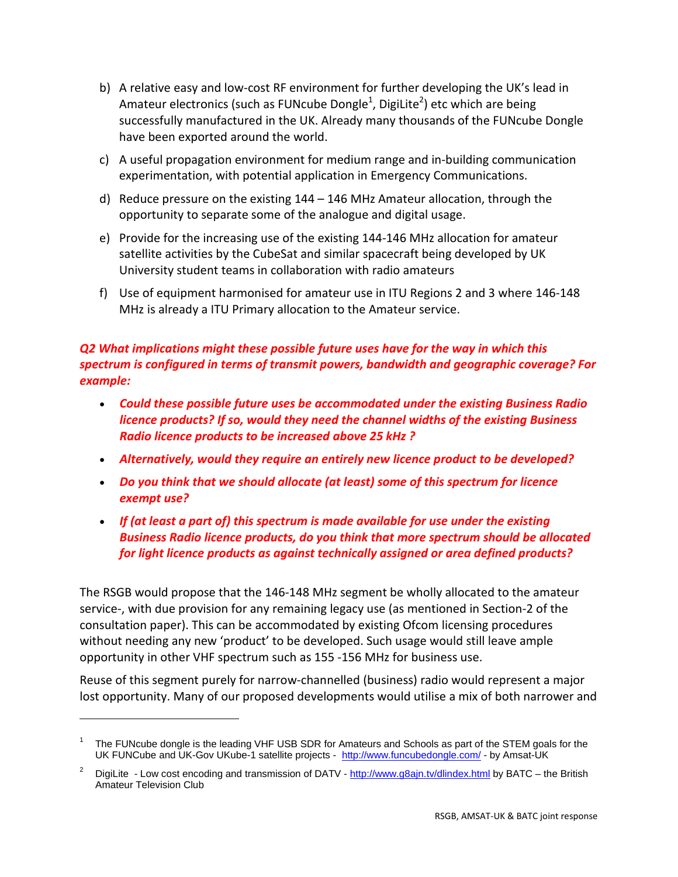- b) A relative easy and low-cost RF environment for further developing the UK's lead in Amateur electronics (such as FUNcube Dongle<sup>[1](#page-1-0)</sup>, DigiLite<sup>2</sup>[\)](#page-1-1) etc which are being successfully manufactured in the UK. Already many thousands of the FUNcube Dongle have been exported around the world.
- c) A useful propagation environment for medium range and in-building communication experimentation, with potential application in Emergency Communications.
- d) Reduce pressure on the existing 144 146 MHz Amateur allocation, through the opportunity to separate some of the analogue and digital usage.
- e) Provide for the increasing use of the existing 144-146 MHz allocation for amateur satellite activities by the CubeSat and similar spacecraft being developed by UK University student teams in collaboration with radio amateurs
- f) Use of equipment harmonised for amateur use in ITU Regions 2 and 3 where 146-148 MHz is already a ITU Primary allocation to the Amateur service.

### *Q2 What implications might these possible future uses have for the way in which this spectrum is configured in terms of transmit powers, bandwidth and geographic coverage? For example:*

- *Could these possible future uses be accommodated under the existing Business Radio licence products? If so, would they need the channel widths of the existing Business Radio licence products to be increased above 25 kHz ?*
- *Alternatively, would they require an entirely new licence product to be developed?*
- *Do you think that we should allocate (at least) some of this spectrum for licence exempt use?*
- *If (at least a part of) this spectrum is made available for use under the existing Business Radio licence products, do you think that more spectrum should be allocated for light licence products as against technically assigned or area defined products?*

The RSGB would propose that the 146-148 MHz segment be wholly allocated to the amateur service-, with due provision for any remaining legacy use (as mentioned in Section-2 of the consultation paper). This can be accommodated by existing Ofcom licensing procedures without needing any new 'product' to be developed. Such usage would still leave ample opportunity in other VHF spectrum such as 155 -156 MHz for business use.

Reuse of this segment purely for narrow-channelled (business) radio would represent a major lost opportunity. Many of our proposed developments would utilise a mix of both narrower and

<span id="page-1-0"></span><sup>1</sup> The FUNcube dongle is the leading VHF USB SDR for Amateurs and Schools as part of the STEM goals for the UK FUNCube and UK-Gov UKube-1 satellite projects - http://www.funcubedongle.com/ - by Amsat-UK

<span id="page-1-1"></span>DigiLite - Low cost encoding and transmission of DATV - http://www.g8ajn.tv/dlindex.html by BATC - the British Amateur Television Club